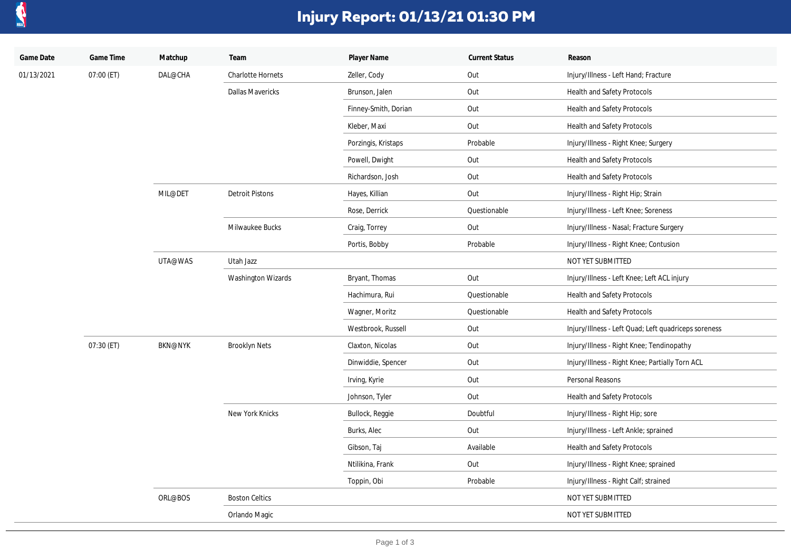

## **Injury Report: 01/13/21 01:30 PM**

| Game Date  | Game Time  | Matchup        | Team                     | Player Name          | <b>Current Status</b> | Reason                                               |
|------------|------------|----------------|--------------------------|----------------------|-----------------------|------------------------------------------------------|
| 01/13/2021 | 07:00 (ET) | DAL@CHA        | <b>Charlotte Hornets</b> | Zeller, Cody         | Out                   | Injury/Illness - Left Hand; Fracture                 |
|            |            |                | <b>Dallas Mavericks</b>  | Brunson, Jalen       | Out                   | Health and Safety Protocols                          |
|            |            |                |                          | Finney-Smith, Dorian | Out                   | Health and Safety Protocols                          |
|            |            |                |                          | Kleber, Maxi         | Out                   | Health and Safety Protocols                          |
|            |            |                |                          | Porzingis, Kristaps  | Probable              | Injury/Illness - Right Knee; Surgery                 |
|            |            |                |                          | Powell, Dwight       | Out                   | Health and Safety Protocols                          |
|            |            |                |                          | Richardson, Josh     | Out                   | Health and Safety Protocols                          |
|            |            | MIL@DET        | <b>Detroit Pistons</b>   | Hayes, Killian       | Out                   | Injury/Illness - Right Hip; Strain                   |
|            |            |                |                          | Rose, Derrick        | Questionable          | Injury/Illness - Left Knee; Soreness                 |
|            |            |                | Milwaukee Bucks          | Craig, Torrey        | Out                   | Injury/Illness - Nasal; Fracture Surgery             |
|            |            |                |                          | Portis, Bobby        | Probable              | Injury/Illness - Right Knee; Contusion               |
|            |            | UTA@WAS        | Utah Jazz                |                      |                       | NOT YET SUBMITTED                                    |
|            |            |                | Washington Wizards       | Bryant, Thomas       | Out                   | Injury/Illness - Left Knee; Left ACL injury          |
|            |            |                |                          | Hachimura, Rui       | Questionable          | Health and Safety Protocols                          |
|            |            |                |                          | Wagner, Moritz       | Questionable          | Health and Safety Protocols                          |
|            |            |                |                          | Westbrook, Russell   | Out                   | Injury/Illness - Left Quad; Left quadriceps soreness |
|            | 07:30 (ET) | <b>BKN@NYK</b> | <b>Brooklyn Nets</b>     | Claxton, Nicolas     | Out                   | Injury/Illness - Right Knee; Tendinopathy            |
|            |            |                |                          | Dinwiddie, Spencer   | Out                   | Injury/Illness - Right Knee; Partially Torn ACL      |
|            |            |                |                          | Irving, Kyrie        | Out                   | Personal Reasons                                     |
|            |            |                |                          | Johnson, Tyler       | Out                   | Health and Safety Protocols                          |
|            |            |                | New York Knicks          | Bullock, Reggie      | Doubtful              | Injury/Illness - Right Hip; sore                     |
|            |            |                |                          | Burks, Alec          | Out                   | Injury/Illness - Left Ankle; sprained                |
|            |            |                |                          | Gibson, Taj          | Available             | Health and Safety Protocols                          |
|            |            |                |                          | Ntilikina, Frank     | Out                   | Injury/Illness - Right Knee; sprained                |
|            |            |                |                          | Toppin, Obi          | Probable              | Injury/Illness - Right Calf; strained                |
|            |            | ORL@BOS        | <b>Boston Celtics</b>    |                      |                       | NOT YET SUBMITTED                                    |
|            |            |                | Orlando Magic            |                      |                       | NOT YET SUBMITTED                                    |
|            |            |                |                          |                      |                       |                                                      |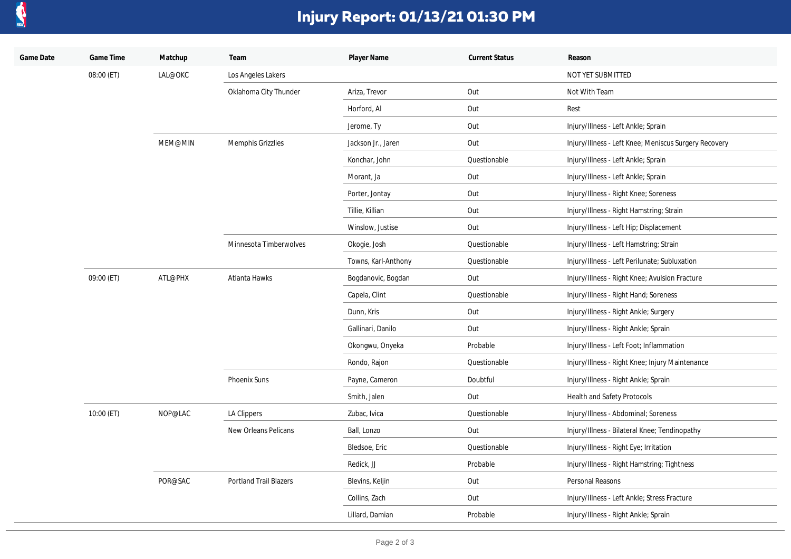

## **Injury Report: 01/13/21 01:30 PM**

| Game Date | Game Time  | Matchup | Team                          | Player Name         | <b>Current Status</b> | Reason                                                |
|-----------|------------|---------|-------------------------------|---------------------|-----------------------|-------------------------------------------------------|
|           | 08:00 (ET) | LAL@OKC | Los Angeles Lakers            |                     |                       | NOT YET SUBMITTED                                     |
|           |            |         | Oklahoma City Thunder         | Ariza, Trevor       | Out                   | Not With Team                                         |
|           |            |         |                               | Horford, Al         | Out                   | Rest                                                  |
|           |            |         |                               | Jerome, Ty          | Out                   | Injury/Illness - Left Ankle; Sprain                   |
|           |            | MEM@MIN | Memphis Grizzlies             | Jackson Jr., Jaren  | Out                   | Injury/Illness - Left Knee; Meniscus Surgery Recovery |
|           |            |         |                               | Konchar, John       | Questionable          | Injury/Illness - Left Ankle; Sprain                   |
|           |            |         |                               | Morant, Ja          | Out                   | Injury/Illness - Left Ankle; Sprain                   |
|           |            |         |                               | Porter, Jontay      | Out                   | Injury/Illness - Right Knee; Soreness                 |
|           |            |         |                               | Tillie, Killian     | Out                   | Injury/Illness - Right Hamstring; Strain              |
|           |            |         |                               | Winslow, Justise    | Out                   | Injury/Illness - Left Hip; Displacement               |
|           |            |         | Minnesota Timberwolves        | Okogie, Josh        | Questionable          | Injury/Illness - Left Hamstring; Strain               |
|           |            |         |                               | Towns, Karl-Anthony | Questionable          | Injury/Illness - Left Perilunate; Subluxation         |
|           | 09:00 (ET) | ATL@PHX | Atlanta Hawks                 | Bogdanovic, Bogdan  | Out                   | Injury/Illness - Right Knee; Avulsion Fracture        |
|           |            |         |                               | Capela, Clint       | Questionable          | Injury/Illness - Right Hand; Soreness                 |
|           |            |         |                               | Dunn, Kris          | Out                   | Injury/Illness - Right Ankle; Surgery                 |
|           |            |         |                               | Gallinari, Danilo   | Out                   | Injury/Illness - Right Ankle; Sprain                  |
|           |            |         |                               | Okongwu, Onyeka     | Probable              | Injury/Illness - Left Foot; Inflammation              |
|           |            |         |                               | Rondo, Rajon        | Questionable          | Injury/Illness - Right Knee; Injury Maintenance       |
|           |            |         | Phoenix Suns                  | Payne, Cameron      | Doubtful              | Injury/Illness - Right Ankle; Sprain                  |
|           |            |         |                               | Smith, Jalen        | Out                   | Health and Safety Protocols                           |
|           | 10:00 (ET) | NOP@LAC | LA Clippers                   | Zubac, Ivica        | Questionable          | Injury/Illness - Abdominal; Soreness                  |
|           |            |         | New Orleans Pelicans          | Ball, Lonzo         | Out                   | Injury/Illness - Bilateral Knee; Tendinopathy         |
|           |            |         |                               | Bledsoe, Eric       | Questionable          | Injury/Illness - Right Eye; Irritation                |
|           |            |         |                               | Redick, JJ          | Probable              | Injury/Illness - Right Hamstring; Tightness           |
|           |            | POR@SAC | <b>Portland Trail Blazers</b> | Blevins, Keljin     | Out                   | Personal Reasons                                      |
|           |            |         |                               | Collins, Zach       | Out                   | Injury/Illness - Left Ankle; Stress Fracture          |
|           |            |         |                               | Lillard, Damian     | Probable              | Injury/Illness - Right Ankle; Sprain                  |
|           |            |         |                               |                     |                       |                                                       |